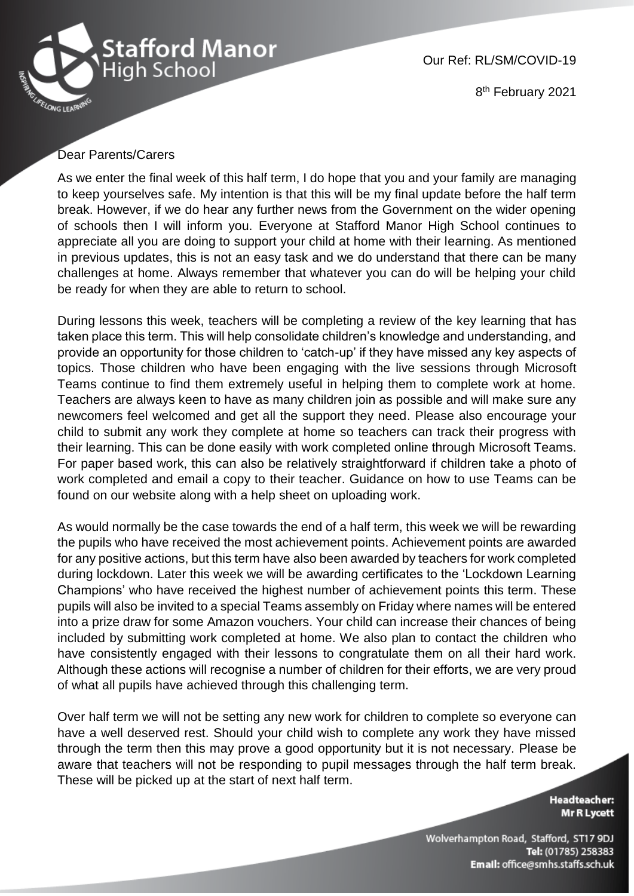

Our Ref: RL/SM/COVID-19

8<sup>th</sup> February 2021

## Dear Parents/Carers

As we enter the final week of this half term, I do hope that you and your family are managing to keep yourselves safe. My intention is that this will be my final update before the half term break. However, if we do hear any further news from the Government on the wider opening of schools then I will inform you. Everyone at Stafford Manor High School continues to appreciate all you are doing to support your child at home with their learning. As mentioned in previous updates, this is not an easy task and we do understand that there can be many challenges at home. Always remember that whatever you can do will be helping your child be ready for when they are able to return to school.

During lessons this week, teachers will be completing a review of the key learning that has taken place this term. This will help consolidate children's knowledge and understanding, and provide an opportunity for those children to 'catch-up' if they have missed any key aspects of topics. Those children who have been engaging with the live sessions through Microsoft Teams continue to find them extremely useful in helping them to complete work at home. Teachers are always keen to have as many children join as possible and will make sure any newcomers feel welcomed and get all the support they need. Please also encourage your child to submit any work they complete at home so teachers can track their progress with their learning. This can be done easily with work completed online through Microsoft Teams. For paper based work, this can also be relatively straightforward if children take a photo of work completed and email a copy to their teacher. Guidance on how to use Teams can be found on our website along with a help sheet on uploading work.

As would normally be the case towards the end of a half term, this week we will be rewarding the pupils who have received the most achievement points. Achievement points are awarded for any positive actions, but this term have also been awarded by teachers for work completed during lockdown. Later this week we will be awarding certificates to the 'Lockdown Learning Champions' who have received the highest number of achievement points this term. These pupils will also be invited to a special Teams assembly on Friday where names will be entered into a prize draw for some Amazon vouchers. Your child can increase their chances of being included by submitting work completed at home. We also plan to contact the children who have consistently engaged with their lessons to congratulate them on all their hard work. Although these actions will recognise a number of children for their efforts, we are very proud of what all pupils have achieved through this challenging term.

Over half term we will not be setting any new work for children to complete so everyone can have a well deserved rest. Should your child wish to complete any work they have missed through the term then this may prove a good opportunity but it is not necessary. Please be aware that teachers will not be responding to pupil messages through the half term break. These will be picked up at the start of next half term.

> **Headteacher:** Mr R Lycett

Wolverhampton Road, Stafford, ST17 9DJ Tel: (01785) 258383 Email: office@smhs.staffs.sch.uk